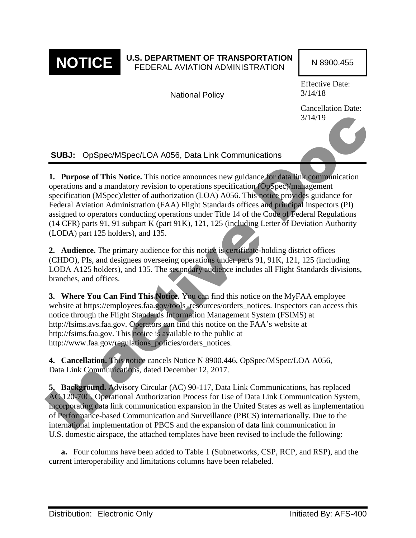

# **NOTICE** U.S. DEPARTMENT OF TRANSPORTATION N 8900.455

National Policy

Effective Date: 3/14/18

Cancellation Date: 3/14/19

**SUBJ:** OpSpec/MSpec/LOA A056, Data Link Communications

**1. Purpose of This Notice.** This notice announces new guidance for data link communication operations and a mandatory revision to operations specification (OpSpec)/management specification (MSpec)/letter of authorization (LOA) A056. This notice provides guidance for Federal Aviation Administration (FAA) Flight Standards offices and principal inspectors (PI) assigned to operators conducting operations under Title 14 of the Code of Federal Regulations (14 CFR) parts 91, 91 subpart K (part 91K), 121, 125 (including Letter of Deviation Authority (LODA) part 125 holders), and 135. 3/14/19<br>
SUBJ: OpSpec/MSpec/LOA A056, Data Link Communications<br>
1. Purpose of This Notice. This notice announces new guidance for data link communication<br>
operations and a mandatory revision to operations specification Co

**2. Audience.** The primary audience for this notice is certificate-holding district offices (CHDO), PIs, and designees overseeing operations under parts 91, 91K, 121, 125 (including LODA A125 holders), and 135. The secondary audience includes all Flight Standards divisions, branches, and offices.

**3. Where You Can Find This Notice.** You can find this notice on the MyFAA employee website at https://employees.faa.gov/tools\_resources/orders\_notices. Inspectors can access this notice through the Flight Standards Information Management System (FSIMS) at http://fsims.avs.faa.gov. Operators can find this notice on the FAA's website at http://fsims.faa.gov. This notice is available to the public at http://www.faa.gov/regulations\_policies/orders\_notices.

**4. Cancellation.** This notice cancels Notice N 8900.446, OpSpec/MSpec/LOA A056, Data Link Communications, dated December 12, 2017.

**5. Background.** Advisory Circular (AC) 90-117, Data Link Communications, has replaced AC 120-70C, Operational Authorization Process for Use of Data Link Communication System, incorporating data link communication expansion in the United States as well as implementation of Performance-based Communication and Surveillance (PBCS) internationally. Due to the international implementation of PBCS and the expansion of data link communication in U.S. domestic airspace, the attached templates have been revised to include the following:

**a.** Four columns have been added to Table 1 (Subnetworks, CSP, RCP, and RSP), and the current interoperability and limitations columns have been relabeled.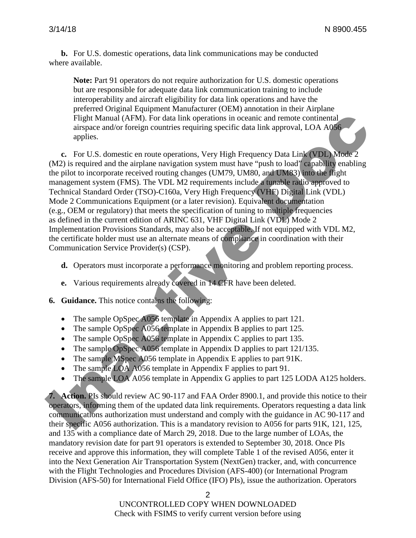**b.** For U.S. domestic operations, data link communications may be conducted where available.

**Note:** Part 91 operators do not require authorization for U.S. domestic operations but are responsible for adequate data link communication training to include interoperability and aircraft eligibility for data link operations and have the preferred Original Equipment Manufacturer (OEM) annotation in their Airplane Flight Manual (AFM). For data link operations in oceanic and remote continental airspace and/or foreign countries requiring specific data link approval, LOA A056 applies.

**c.** For U.S. domestic en route operations, Very High Frequency Data Link (VDL) Mode 2 (M2) is required and the airplane navigation system must have "push to load" capability enabling the pilot to incorporate received routing changes (UM79, UM80, and UM83) into the flight management system (FMS). The VDL M2 requirements include a tunable radio approved to Technical Standard Order (TSO)-C160a, Very High Frequency (VHF) Digital Link (VDL) Mode 2 Communications Equipment (or a later revision). Equivalent documentation (e.g., OEM or regulatory) that meets the specification of tuning to multiple frequencies as defined in the current edition of ARINC 631, VHF Digital Link (VDL) Mode 2 Implementation Provisions Standards, may also be acceptable. If not equipped with VDL M2, the certificate holder must use an alternate means of compliance in coordination with their Communication Service Provider(s) (CSP). Fight Manual (AFM). For data link operations in oceanic and remote continental<br>airspace and/or foreign countries requiring specific data link approval, LOA A086<br>applies,<br>c. For U.S. domestic en route operations, Very High

- **d.** Operators must incorporate a performance monitoring and problem reporting process.
- **e.** Various requirements already covered in 14 CFR have been deleted.

**6. Guidance.** This notice contains the following:

- The sample OpSpec A056 template in Appendix A applies to part 121.
- The sample OpSpec A056 template in Appendix B applies to part 125.
- The sample OpSpec A056 template in Appendix C applies to part 135.
- The sample OpSpec A056 template in Appendix D applies to part 121/135.
- The sample MSpec A056 template in Appendix E applies to part 91K.
- The sample LOA A056 template in Appendix F applies to part 91.
- The sample LOA A056 template in Appendix G applies to part 125 LODA A125 holders.

**7. Action.** PIs should review AC 90-117 and FAA Order 8900.1, and provide this notice to their operators, informing them of the updated data link requirements. Operators requesting a data link communications authorization must understand and comply with the guidance in AC 90-117 and their specific A056 authorization. This is a mandatory revision to A056 for parts 91K, 121, 125, and 135 with a compliance date of March 29, 2018. Due to the large number of LOAs, the mandatory revision date for part 91 operators is extended to September 30, 2018. Once PIs receive and approve this information, they will complete Table 1 of the revised A056, enter it into the Next Generation Air Transportation System (NextGen) tracker, and, with concurrence with the Flight Technologies and Procedures Division (AFS-400) (or International Program Division (AFS-50) for International Field Office (IFO) PIs), issue the authorization. Operators

 $\mathfrak{D}$ 

UNCONTROLLED COPY WHEN DOWNLOADED Check with FSIMS to verify current version before using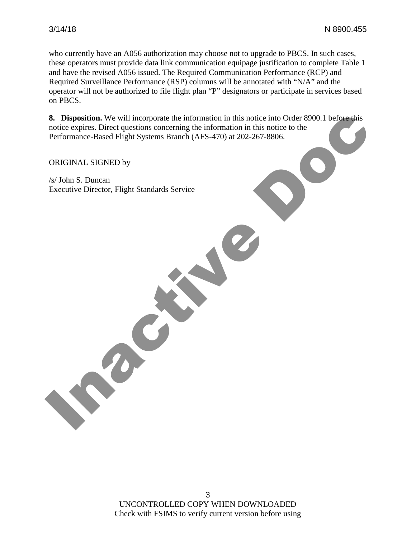who currently have an A056 authorization may choose not to upgrade to PBCS. In such cases, these operators must provide data link communication equipage justification to complete Table 1 and have the revised A056 issued. The Required Communication Performance (RCP) and Required Surveillance Performance (RSP) columns will be annotated with "N/A" and the operator will not be authorized to file flight plan "P" designators or participate in services based on PBCS.

**8. Disposition.** We will incorporate the information in this notice into Order 8900.1 before this notice expires. Direct questions concerning the information in this notice to the Performance-Based Flight Systems Branch (AFS-470) at 202-267-8806. 8. Disposition. We will incorporate the information in this notice into Order 8900.1 before this<br>notice expires. Direct questions concerning the information in this notice to the<br>Performance-Based Flight Systems Branch (AF

ORIGINAL SIGNED by

/s/ John S. Duncan Executive Director, Flight Standards Service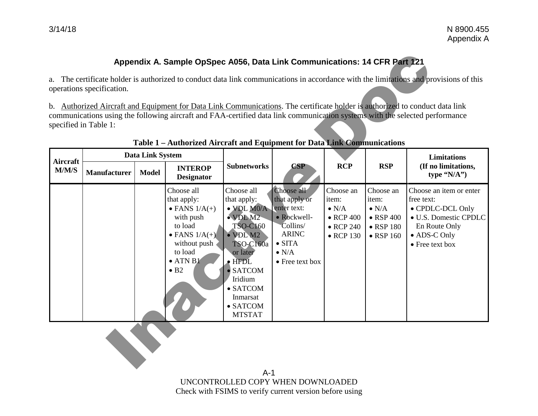# **Appendix A. Sample OpSpec A056, Data Link Communications: 14 CFR Part 121**

|                   | operations specification. |                                  | Appendix A. Sample OpSpec A056, Data Link Communications: 14 CFR Part 121                                                                                                          |                                                                                                                                                                                                                                                   |                                                                                                                                             |                                                                                                    |                                                                                                    | a. The certificate holder is authorized to conduct data link communications in accordance with the limitations and provisions of this<br>b. Authorized Aircraft and Equipment for Data Link Communications. The certificate holder is authorized to conduct data link |
|-------------------|---------------------------|----------------------------------|------------------------------------------------------------------------------------------------------------------------------------------------------------------------------------|---------------------------------------------------------------------------------------------------------------------------------------------------------------------------------------------------------------------------------------------------|---------------------------------------------------------------------------------------------------------------------------------------------|----------------------------------------------------------------------------------------------------|----------------------------------------------------------------------------------------------------|-----------------------------------------------------------------------------------------------------------------------------------------------------------------------------------------------------------------------------------------------------------------------|
|                   | specified in Table 1:     |                                  | Table 1 - Authorized Aircraft and Equipment for Data Link Communications                                                                                                           |                                                                                                                                                                                                                                                   |                                                                                                                                             |                                                                                                    |                                                                                                    | communications using the following aircraft and FAA-certified data link communication systems with the selected performance                                                                                                                                           |
| Aircraft<br>M/M/S | <b>Manufacturer</b>       | Data Link System<br><b>Model</b> | <b>INTEROP</b><br><b>Designator</b>                                                                                                                                                | <b>Subnetworks</b>                                                                                                                                                                                                                                | <b>CSP</b>                                                                                                                                  | <b>RCP</b>                                                                                         | <b>RSP</b>                                                                                         | <b>Limitations</b><br>(If no limitations,<br>type " $N/A$ ")                                                                                                                                                                                                          |
|                   |                           |                                  | Choose all<br>that apply:<br>$\bullet$ FANS $1/A(+)$<br>with push<br>to load<br>$\bullet$ FANS $1/A(+)$<br>without push<br>to load<br>$\bullet$ ATN B1<br>$\bullet$ B <sub>2</sub> | Choose all<br>that apply:<br>$\bullet$ VDL M0/A<br>$\bullet$ VDL M2<br><b>TSO-C160</b><br>· VDL M2<br>TSO-C160a<br>or later<br>$\bullet$ HFDL<br>$\bullet$ SATCOM<br>Iridium<br>$\bullet$ SATCOM<br>Inmarsat<br>$\bullet$ SATCOM<br><b>MTSTAT</b> | Choose all<br>that apply or<br>enter text:<br>• Rockwell-<br>Collins/<br><b>ARINC</b><br>$\bullet$ SITA<br>$\bullet$ N/A<br>• Free text box | Choose an<br>item:<br>$\bullet$ N/A<br>$\bullet$ RCP 400<br>$\bullet$ RCP 240<br>$\bullet$ RCP 130 | Choose an<br>item:<br>$\bullet$ N/A<br>$\bullet$ RSP 400<br>$\bullet$ RSP 180<br>$\bullet$ RSP 160 | Choose an item or enter<br>free text:<br>• CPDLC-DCL Only<br>• U.S. Domestic CPDLC<br>En Route Only<br>• ADS-C Only<br>• Free text box                                                                                                                                |

#### **Table 1 – Authorized Aircraft and Equipment for Data Link Communications**

A-1 UNCONTROLLED COPY WHEN DOWNLOADED Check with FSIMS to verify current version before using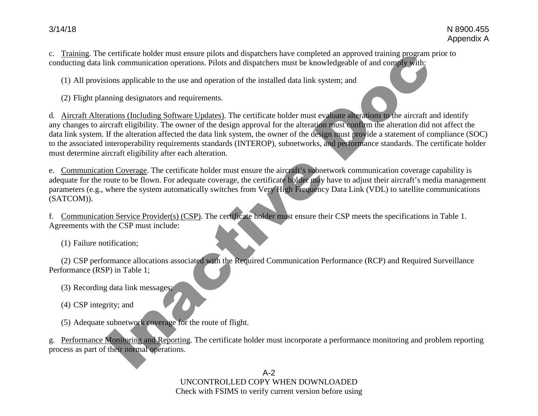c. Training. The certificate holder must ensure pilots and dispatchers have completed an approved training program prior to conducting data link communication operations. Pilots and dispatchers must be knowledgeable of and comply with:

(1) All provisions applicable to the use and operation of the installed data link system; and

(2) Flight planning designators and requirements.

d. Aircraft Alterations (Including Software Updates). The certificate holder must evaluate alterations to the aircraft and identify any changes to aircraft eligibility. The owner of the design approval for the alteration must confirm the alteration did not affect the data link system. If the alteration affected the data link system, the owner of the design must provide a statement of compliance (SOC) to the associated interoperability requirements standards (INTEROP), subnetworks, and performance standards. The certificate holder must determine aircraft eligibility after each alteration. certificate holder must ensure pilos and dispactness have completed an approved training program<br>ink communication operations. Pilots and dispactness must be knowledgeable of and complex with:<br>tions applicable to the use a

e. Communication Coverage. The certificate holder must ensure the aircraft's subnetwork communication coverage capability is adequate for the route to be flown. For adequate coverage, the certificate holder may have to adjust their aircraft's media management parameters (e.g., where the system automatically switches from Very High Frequency Data Link (VDL) to satellite communications (SATCOM)).

f. Communication Service Provider(s) (CSP). The certificate holder must ensure their CSP meets the specifications in Table 1. Agreements with the CSP must include:

(1) Failure notification;

(2) CSP performance allocations associated with the Required Communication Performance (RCP) and Required Surveillance Performance (RSP) in Table 1;

(3) Recording data link messages;

(4) CSP integrity; and

(5) Adequate subnetwork coverage for the route of flight.

g. Performance Monitoring and Reporting. The certificate holder must incorporate a performance monitoring and problem reporting process as part of their normal operations.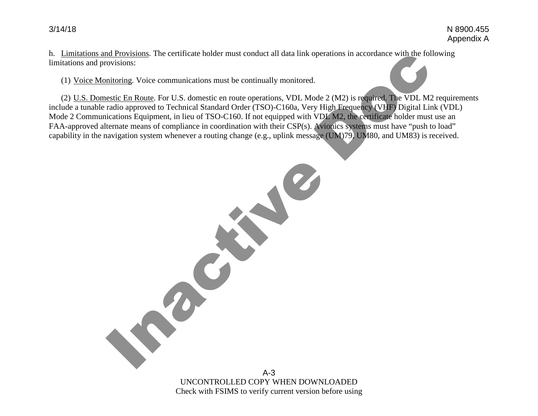h. Limitations and Provisions. The certificate holder must conduct all data link operations in accordance with the following limitations and provisions:

(1) Voice Monitoring. Voice communications must be continually monitored.

Inactive Doc

(2) U.S. Domestic En Route. For U.S. domestic en route operations, VDL Mode 2 (M2) is required. The VDL M2 requirements include a tunable radio approved to Technical Standard Order (TSO)-C160a, Very High Frequency (VHF) Digital Link (VDL) Mode 2 Communications Equipment, in lieu of TSO-C160. If not equipped with VDL M2, the certificate holder must use an FAA-approved alternate means of compliance in coordination with their CSP(s). Avionics systems must have "push to load" capability in the navigation system whenever a routing change (e.g., uplink message (UM)79, UM80, and UM83) is received.

> A-3 UNCONTROLLED COPY WHEN DOWNLOADED Check with FSIMS to verify current version before using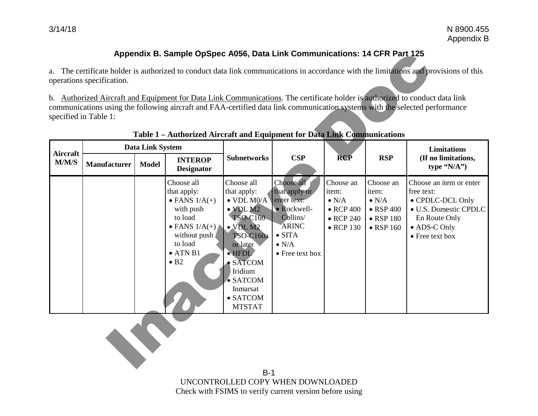# **Appendix B. Sample OpSpec A056, Data Link Communications: 14 CFR Part 125**

|                 |                                           |              | Appendix B. Sample OpSpec A056, Data Link Communications: 14 CFR Part 125                                                                                                          |                                                                                                                                                                                                                                                           |                                                                                                                                             |                                                                                                    |                                                                                                    |                                                                                                                                                                                                                                                             |
|-----------------|-------------------------------------------|--------------|------------------------------------------------------------------------------------------------------------------------------------------------------------------------------------|-----------------------------------------------------------------------------------------------------------------------------------------------------------------------------------------------------------------------------------------------------------|---------------------------------------------------------------------------------------------------------------------------------------------|----------------------------------------------------------------------------------------------------|----------------------------------------------------------------------------------------------------|-------------------------------------------------------------------------------------------------------------------------------------------------------------------------------------------------------------------------------------------------------------|
|                 | operations specification.                 |              |                                                                                                                                                                                    |                                                                                                                                                                                                                                                           |                                                                                                                                             |                                                                                                    |                                                                                                    | a. The certificate holder is authorized to conduct data link communications in accordance with the limitations and provisions of this                                                                                                                       |
|                 | specified in Table 1:                     |              | Table 1 - Authorized Aircraft and Equipment for Data Link Communications                                                                                                           |                                                                                                                                                                                                                                                           |                                                                                                                                             |                                                                                                    |                                                                                                    | b. Authorized Aircraft and Equipment for Data Link Communications. The certificate holder is authorized to conduct data link<br>communications using the following aircraft and FAA-certified data link communication systems with the selected performance |
| <b>Aircraft</b> | <b>Data Link System</b><br><b>INTEROP</b> |              | <b>Subnetworks</b>                                                                                                                                                                 | <b>CSP</b>                                                                                                                                                                                                                                                | <b>RCP</b>                                                                                                                                  | <b>RSP</b>                                                                                         | Limitations<br>(If no limitations,                                                                 |                                                                                                                                                                                                                                                             |
| M/M/S           | <b>Manufacturer</b>                       | <b>Model</b> | <b>Designator</b>                                                                                                                                                                  |                                                                                                                                                                                                                                                           |                                                                                                                                             |                                                                                                    |                                                                                                    | type $(N/A'')$                                                                                                                                                                                                                                              |
|                 |                                           |              | Choose all<br>that apply:<br>$\bullet$ FANS $1/A(+)$<br>with push<br>to load<br>$\bullet$ FANS $1/A(+)$<br>without push<br>to load<br>$\bullet$ ATN B1<br>$\bullet$ B <sub>2</sub> | Choose all<br>that apply:<br>$\bullet$ VDL M0/A<br>$\bullet$ VDL M2<br>TSO-C160<br>$\bullet$ VDL M2<br><b>TSO-C160a</b><br>or later<br>$\bullet$ HFDL<br>$\bullet$ SATCOM<br>Iridium<br>$\bullet$ SATCOM<br>Inmarsat<br>$\bullet$ SATCOM<br><b>MTSTAT</b> | Choose all<br>that apply or<br>enter text:<br>• Rockwell-<br>Collins/<br><b>ARINC</b><br>$\bullet$ SITA<br>$\bullet$ N/A<br>• Free text box | Choose an<br>item:<br>$\bullet$ N/A<br>$\bullet$ RCP 400<br>$\bullet$ RCP 240<br>$\bullet$ RCP 130 | Choose an<br>item:<br>$\bullet$ N/A<br>$\bullet$ RSP 400<br>$\bullet$ RSP 180<br>$\bullet$ RSP 160 | Choose an item or enter<br>free text:<br>• CPDLC-DCL Only<br>· U.S. Domestic CPDLC<br>En Route Only<br>• ADS-C Only<br>• Free text box                                                                                                                      |
|                 |                                           |              |                                                                                                                                                                                    |                                                                                                                                                                                                                                                           |                                                                                                                                             |                                                                                                    |                                                                                                    |                                                                                                                                                                                                                                                             |

### **Table 1 – Authorized Aircraft and Equipment for Data Link Communications**

B-1 UNCONTROLLED COPY WHEN DOWNLOADED Check with FSIMS to verify current version before using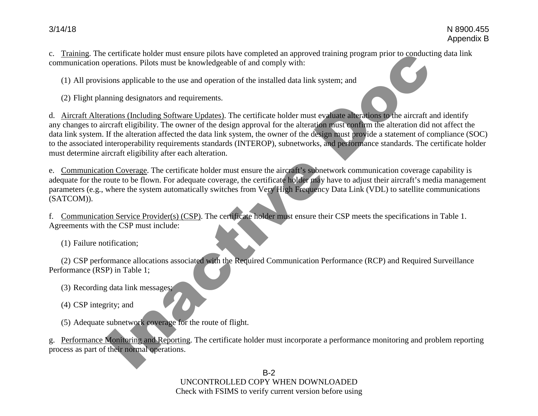c. Training. The certificate holder must ensure pilots have completed an approved training program prior to conducting data link communication operations. Pilots must be knowledgeable of and comply with:

(1) All provisions applicable to the use and operation of the installed data link system; and

(2) Flight planning designators and requirements.

d. Aircraft Alterations (Including Software Updates). The certificate holder must evaluate alterations to the aircraft and identify any changes to aircraft eligibility. The owner of the design approval for the alteration must confirm the alteration did not affect the data link system. If the alteration affected the data link system, the owner of the design must provide a statement of compliance (SOC) to the associated interoperability requirements standards (INTEROP), subnetworks, and performance standards. The certificate holder must determine aircraft eligibility after each alteration. certificate holder must encore prior and complete an approved training program prior to conduct<br>representions. Pilots must be knowledgeable of and comply with:<br>tions applicable to the use and operation of the installed dat

e. Communication Coverage. The certificate holder must ensure the aircraft's subnetwork communication coverage capability is adequate for the route to be flown. For adequate coverage, the certificate holder may have to adjust their aircraft's media management parameters (e.g., where the system automatically switches from Very High Frequency Data Link (VDL) to satellite communications (SATCOM)).

f. Communication Service Provider(s) (CSP). The certificate holder must ensure their CSP meets the specifications in Table 1. Agreements with the CSP must include:

(1) Failure notification;

(2) CSP performance allocations associated with the Required Communication Performance (RCP) and Required Surveillance Performance (RSP) in Table 1;

(3) Recording data link messages;

(4) CSP integrity; and

(5) Adequate subnetwork coverage for the route of flight.

g. Performance Monitoring and Reporting. The certificate holder must incorporate a performance monitoring and problem reporting process as part of their normal operations.

> B-2 UNCONTROLLED COPY WHEN DOWNLOADED Check with FSIMS to verify current version before using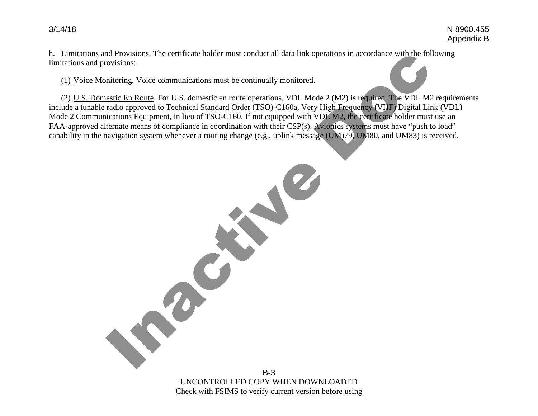h. Limitations and Provisions. The certificate holder must conduct all data link operations in accordance with the following limitations and provisions:

(1) Voice Monitoring. Voice communications must be continually monitored.

Inactive Doc

(2) U.S. Domestic En Route. For U.S. domestic en route operations, VDL Mode 2 (M2) is required. The VDL M2 requirements include a tunable radio approved to Technical Standard Order (TSO)-C160a, Very High Frequency (VHF) Digital Link (VDL) Mode 2 Communications Equipment, in lieu of TSO-C160. If not equipped with VDL M2, the certificate holder must use an FAA-approved alternate means of compliance in coordination with their CSP(s). Avionics systems must have "push to load" capability in the navigation system whenever a routing change (e.g., uplink message (UM)79, UM80, and UM83) is received.

> B-3 UNCONTROLLED COPY WHEN DOWNLOADED Check with FSIMS to verify current version before using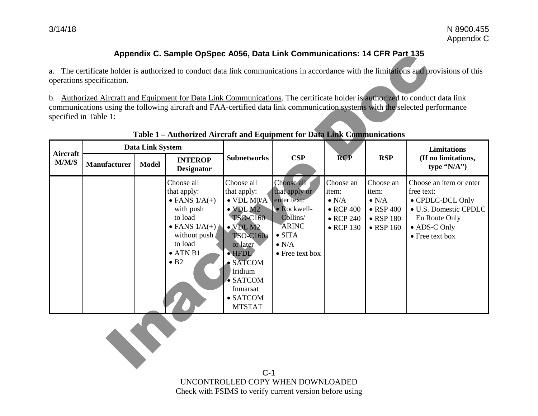# **Appendix C. Sample OpSpec A056, Data Link Communications: 14 CFR Part 135**

|                 |                           |                         | Appendix C. Sample OpSpec A056, Data Link Communications: 14 CFR Part 135                                                                                                          |                                                                                                                                                                                                                                                           |                                                                                                                                             |                                                                                                    |                                                                                                    |                                                                                                                                                                                                                                                             |
|-----------------|---------------------------|-------------------------|------------------------------------------------------------------------------------------------------------------------------------------------------------------------------------|-----------------------------------------------------------------------------------------------------------------------------------------------------------------------------------------------------------------------------------------------------------|---------------------------------------------------------------------------------------------------------------------------------------------|----------------------------------------------------------------------------------------------------|----------------------------------------------------------------------------------------------------|-------------------------------------------------------------------------------------------------------------------------------------------------------------------------------------------------------------------------------------------------------------|
|                 | operations specification. |                         |                                                                                                                                                                                    |                                                                                                                                                                                                                                                           |                                                                                                                                             |                                                                                                    |                                                                                                    | a. The certificate holder is authorized to conduct data link communications in accordance with the limitations and provisions of this                                                                                                                       |
|                 | specified in Table 1:     |                         | Table 1 - Authorized Aircraft and Equipment for Data Link Communications                                                                                                           |                                                                                                                                                                                                                                                           |                                                                                                                                             |                                                                                                    |                                                                                                    | b. Authorized Aircraft and Equipment for Data Link Communications. The certificate holder is authorized to conduct data link<br>communications using the following aircraft and FAA-certified data link communication systems with the selected performance |
| <b>Aircraft</b> |                           | <b>Data Link System</b> | <b>INTEROP</b>                                                                                                                                                                     | <b>Subnetworks</b>                                                                                                                                                                                                                                        | CSP                                                                                                                                         | <b>RCP</b>                                                                                         | <b>RSP</b>                                                                                         | Limitations<br>(If no limitations,                                                                                                                                                                                                                          |
| M/M/S           | <b>Manufacturer</b>       | <b>Model</b>            | <b>Designator</b>                                                                                                                                                                  |                                                                                                                                                                                                                                                           |                                                                                                                                             |                                                                                                    |                                                                                                    | type $(N/A'')$                                                                                                                                                                                                                                              |
|                 |                           |                         | Choose all<br>that apply:<br>$\bullet$ FANS $1/A(+)$<br>with push<br>to load<br>$\bullet$ FANS $1/A(+)$<br>without push<br>to load<br>$\bullet$ ATN B1<br>$\bullet$ B <sub>2</sub> | Choose all<br>that apply:<br>$\bullet$ VDL M0/A<br>$\bullet$ VDL M2<br>TSO-C160<br>$\bullet$ VDL M2<br><b>TSO-C160a</b><br>or later<br>$\bullet$ HFDL<br>$\bullet$ SATCOM<br>Iridium<br>$\bullet$ SATCOM<br>Inmarsat<br>$\bullet$ SATCOM<br><b>MTSTAT</b> | Choose all<br>that apply or<br>enter text:<br>• Rockwell-<br>Collins/<br><b>ARINC</b><br>$\bullet$ SITA<br>$\bullet$ N/A<br>• Free text box | Choose an<br>item:<br>$\bullet$ N/A<br>$\bullet$ RCP 400<br>$\bullet$ RCP 240<br>$\bullet$ RCP 130 | Choose an<br>item:<br>$\bullet$ N/A<br>$\bullet$ RSP 400<br>$\bullet$ RSP 180<br>$\bullet$ RSP 160 | Choose an item or enter<br>free text:<br>• CPDLC-DCL Only<br>· U.S. Domestic CPDLC<br>En Route Only<br>• ADS-C Only<br>• Free text box                                                                                                                      |
|                 |                           |                         |                                                                                                                                                                                    |                                                                                                                                                                                                                                                           |                                                                                                                                             |                                                                                                    |                                                                                                    |                                                                                                                                                                                                                                                             |

### **Table 1 – Authorized Aircraft and Equipment for Data Link Communications**

 $C-1$ UNCONTROLLED COPY WHEN DOWNLOADED Check with FSIMS to verify current version before using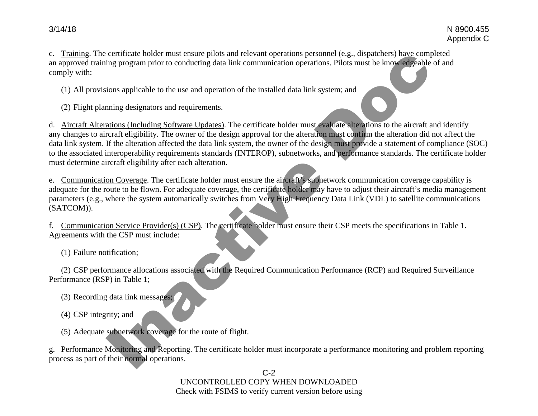C-2 UNCONTROLLED COPY WHEN DOWNLOADED

Check with FSIMS to verify current version before using

3/14/18 N 8900.455

c. Training. The certificate holder must ensure pilots and relevant operations personnel (e.g., dispatchers) have completed an approved training program prior to conducting data link communication operations. Pilots must be knowledgeable of and comply with:

(1) All provisions applicable to the use and operation of the installed data link system; and

(2) Flight planning designators and requirements.

d. Aircraft Alterations (Including Software Updates). The certificate holder must evaluate alterations to the aircraft and identify any changes to aircraft eligibility. The owner of the design approval for the alteration must confirm the alteration did not affect the data link system. If the alteration affected the data link system, the owner of the design must provide a statement of compliance (SOC) to the associated interoperability requirements standards (INTEROP), subnetworks, and performance standards. The certificate holder must determine aircraft eligibility after each alteration. certificate holder must ensure pilots and relevant operations personnel (e.g., disputchers) have compare the program prior to conducting data link communication operations. Pilots must be knowledgeable<br>ions applicable to t

e. Communication Coverage. The certificate holder must ensure the aircraft's subnetwork communication coverage capability is adequate for the route to be flown. For adequate coverage, the certificate holder may have to adjust their aircraft's media management parameters (e.g., where the system automatically switches from Very High Frequency Data Link (VDL) to satellite communications (SATCOM)).

f. Communication Service Provider(s) (CSP). The certificate holder must ensure their CSP meets the specifications in Table 1. Agreements with the CSP must include:

(1) Failure notification;

(2) CSP performance allocations associated with the Required Communication Performance (RCP) and Required Surveillance Performance (RSP) in Table 1;

- (3) Recording data link messages;
- (4) CSP integrity; and
- (5) Adequate subnetwork coverage for the route of flight.

g. Performance Monitoring and Reporting. The certificate holder must incorporate a performance monitoring and problem reporting process as part of their normal operations.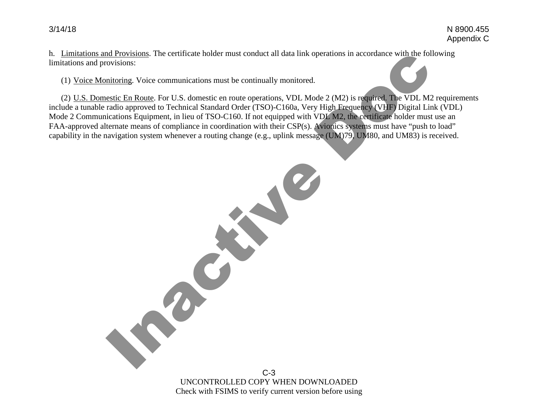h. Limitations and Provisions. The certificate holder must conduct all data link operations in accordance with the following limitations and provisions:

(1) Voice Monitoring. Voice communications must be continually monitored.

Inactive Doc

(2) U.S. Domestic En Route. For U.S. domestic en route operations, VDL Mode 2 (M2) is required. The VDL M2 requirements include a tunable radio approved to Technical Standard Order (TSO)-C160a, Very High Frequency (VHF) Digital Link (VDL) Mode 2 Communications Equipment, in lieu of TSO-C160. If not equipped with VDL M2, the certificate holder must use an FAA-approved alternate means of compliance in coordination with their CSP(s). Avionics systems must have "push to load" capability in the navigation system whenever a routing change (e.g., uplink message (UM)79, UM80, and UM83) is received.

> C-3 UNCONTROLLED COPY WHEN DOWNLOADED Check with FSIMS to verify current version before using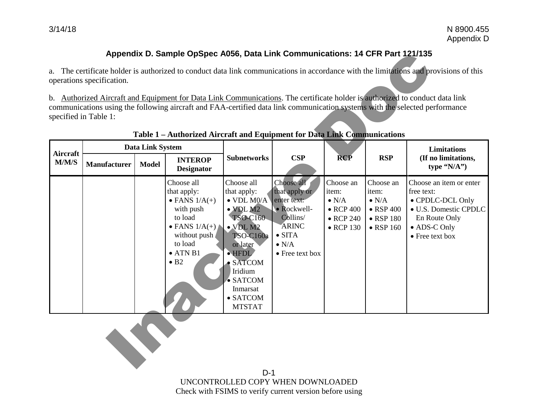# **Appendix D. Sample OpSpec A056, Data Link Communications: 14 CFR Part 121/135**

|                 |                           |                         | Appendix D. Sample OpSpec A056, Data Link Communications: 14 CFR Part 121/135                                                                                                      |                                                                                                                                                                                                                                                           |                                                                                                                                             |                                                                                                    |                                                                                                    |                                                                                                                                                                                                                                                             |
|-----------------|---------------------------|-------------------------|------------------------------------------------------------------------------------------------------------------------------------------------------------------------------------|-----------------------------------------------------------------------------------------------------------------------------------------------------------------------------------------------------------------------------------------------------------|---------------------------------------------------------------------------------------------------------------------------------------------|----------------------------------------------------------------------------------------------------|----------------------------------------------------------------------------------------------------|-------------------------------------------------------------------------------------------------------------------------------------------------------------------------------------------------------------------------------------------------------------|
|                 | operations specification. |                         |                                                                                                                                                                                    |                                                                                                                                                                                                                                                           |                                                                                                                                             |                                                                                                    |                                                                                                    | a. The certificate holder is authorized to conduct data link communications in accordance with the limitations and provisions of this                                                                                                                       |
|                 | specified in Table 1:     |                         | Table 1 - Authorized Aircraft and Equipment for Data Link Communications                                                                                                           |                                                                                                                                                                                                                                                           |                                                                                                                                             |                                                                                                    |                                                                                                    | b. Authorized Aircraft and Equipment for Data Link Communications. The certificate holder is authorized to conduct data link<br>communications using the following aircraft and FAA-certified data link communication systems with the selected performance |
| <b>Aircraft</b> |                           | <b>Data Link System</b> |                                                                                                                                                                                    | <b>Subnetworks</b>                                                                                                                                                                                                                                        | CSP                                                                                                                                         | <b>RCP</b>                                                                                         | <b>RSP</b>                                                                                         | <b>Limitations</b><br>(If no limitations,                                                                                                                                                                                                                   |
| M/M/S           | Manufacturer              | <b>Model</b>            | <b>INTEROP</b><br><b>Designator</b>                                                                                                                                                |                                                                                                                                                                                                                                                           |                                                                                                                                             |                                                                                                    |                                                                                                    | type $(N/A")$                                                                                                                                                                                                                                               |
|                 |                           |                         | Choose all<br>that apply:<br>$\bullet$ FANS $1/A(+)$<br>with push<br>to load<br>$\bullet$ FANS $1/A(+)$<br>without push<br>to load<br>$\bullet$ ATN B1<br>$\bullet$ B <sub>2</sub> | Choose all<br>that apply:<br>$\bullet$ VDL M0/A<br>$\bullet$ VDL M2<br>TSO-C160<br>$\bullet$ VDL M2<br><b>TSO-C160a</b><br>or later<br>$\bullet$ HFDL<br>$\bullet$ SATCOM<br>Iridium<br>$\bullet$ SATCOM<br>Inmarsat<br>$\bullet$ SATCOM<br><b>MTSTAT</b> | Choose all<br>that apply or<br>enter text:<br>• Rockwell-<br>Collins/<br><b>ARINC</b><br>$\bullet$ SITA<br>$\bullet$ N/A<br>• Free text box | Choose an<br>item:<br>$\bullet$ N/A<br>$\bullet$ RCP 400<br>$\bullet$ RCP 240<br>$\bullet$ RCP 130 | Choose an<br>item:<br>$\bullet$ N/A<br>$\bullet$ RSP 400<br>$\bullet$ RSP 180<br>$\bullet$ RSP 160 | Choose an item or enter<br>free text:<br>• CPDLC-DCL Only<br>· U.S. Domestic CPDLC<br>En Route Only<br>• ADS-C Only<br>• Free text box                                                                                                                      |
|                 |                           |                         |                                                                                                                                                                                    |                                                                                                                                                                                                                                                           |                                                                                                                                             |                                                                                                    |                                                                                                    |                                                                                                                                                                                                                                                             |

## **Table 1 – Authorized Aircraft and Equipment for Data Link Communications**

D-1 UNCONTROLLED COPY WHEN DOWNLOADED Check with FSIMS to verify current version before using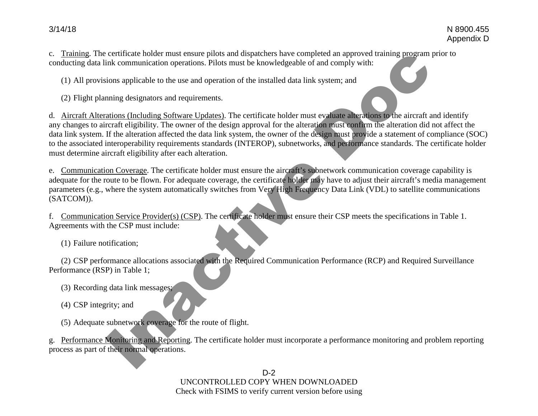c. Training. The certificate holder must ensure pilots and dispatchers have completed an approved training program prior to conducting data link communication operations. Pilots must be knowledgeable of and comply with:

(1) All provisions applicable to the use and operation of the installed data link system; and

(2) Flight planning designators and requirements.

d. Aircraft Alterations (Including Software Updates). The certificate holder must evaluate alterations to the aircraft and identify any changes to aircraft eligibility. The owner of the design approval for the alteration must confirm the alteration did not affect the data link system. If the alteration affected the data link system, the owner of the design must provide a statement of compliance (SOC) to the associated interoperability requirements standards (INTEROP), subnetworks, and performance standards. The certificate holder must determine aircraft eligibility after each alteration. certificate holder must ensure pilos and disputchers have completed an approved training program<br>ink communication operations. Pilots must be knowledgeable of and comply with:<br>tions applicable to the use and operation of t

e. Communication Coverage. The certificate holder must ensure the aircraft's subnetwork communication coverage capability is adequate for the route to be flown. For adequate coverage, the certificate holder may have to adjust their aircraft's media management parameters (e.g., where the system automatically switches from Very High Frequency Data Link (VDL) to satellite communications (SATCOM)).

f. Communication Service Provider(s) (CSP). The certificate holder must ensure their CSP meets the specifications in Table 1. Agreements with the CSP must include:

(1) Failure notification;

(2) CSP performance allocations associated with the Required Communication Performance (RCP) and Required Surveillance Performance (RSP) in Table 1;

(3) Recording data link messages;

(4) CSP integrity; and

(5) Adequate subnetwork coverage for the route of flight.

g. Performance Monitoring and Reporting. The certificate holder must incorporate a performance monitoring and problem reporting process as part of their normal operations.

> D-2 UNCONTROLLED COPY WHEN DOWNLOADED Check with FSIMS to verify current version before using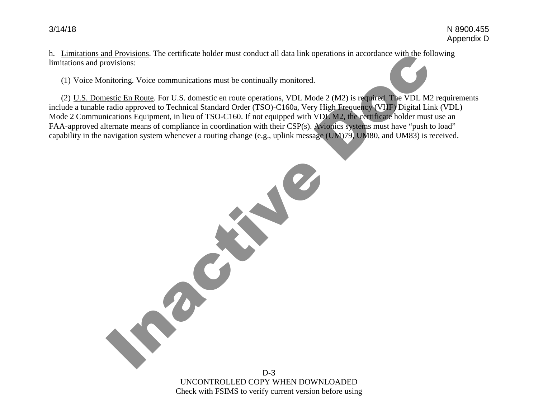h. Limitations and Provisions. The certificate holder must conduct all data link operations in accordance with the following limitations and provisions:

(1) Voice Monitoring. Voice communications must be continually monitored.

Inactive Doc

(2) U.S. Domestic En Route. For U.S. domestic en route operations, VDL Mode 2 (M2) is required. The VDL M2 requirements include a tunable radio approved to Technical Standard Order (TSO)-C160a, Very High Frequency (VHF) Digital Link (VDL) Mode 2 Communications Equipment, in lieu of TSO-C160. If not equipped with VDL M2, the certificate holder must use an FAA-approved alternate means of compliance in coordination with their CSP(s). Avionics systems must have "push to load" capability in the navigation system whenever a routing change (e.g., uplink message (UM)79, UM80, and UM83) is received.

> D-3 UNCONTROLLED COPY WHEN DOWNLOADED Check with FSIMS to verify current version before using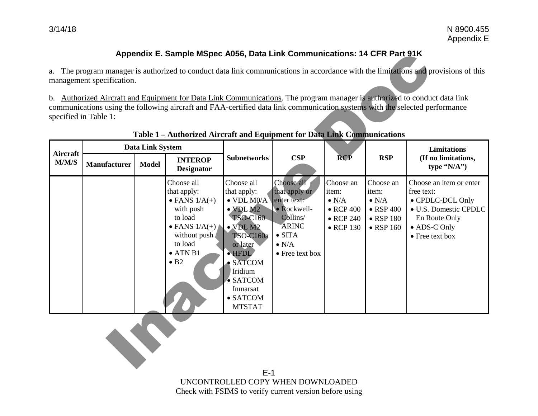# **Appendix E. Sample MSpec A056, Data Link Communications: 14 CFR Part 91K**

|                 |                           |                         | Appendix E. Sample MSpec A056, Data Link Communications: 14 CFR Part 91K                                                                                                           |                                                                                                                                                                                                                                                |                                                                                                                                             |                                                                                                    |                                                                                                    |                                                                                                                                                                                                                                                          |
|-----------------|---------------------------|-------------------------|------------------------------------------------------------------------------------------------------------------------------------------------------------------------------------|------------------------------------------------------------------------------------------------------------------------------------------------------------------------------------------------------------------------------------------------|---------------------------------------------------------------------------------------------------------------------------------------------|----------------------------------------------------------------------------------------------------|----------------------------------------------------------------------------------------------------|----------------------------------------------------------------------------------------------------------------------------------------------------------------------------------------------------------------------------------------------------------|
|                 | management specification. |                         |                                                                                                                                                                                    |                                                                                                                                                                                                                                                |                                                                                                                                             |                                                                                                    |                                                                                                    | a. The program manager is authorized to conduct data link communications in accordance with the limitations and provisions of this                                                                                                                       |
|                 | specified in Table 1:     |                         | Table 1 - Authorized Aircraft and Equipment for Data Link Communications                                                                                                           |                                                                                                                                                                                                                                                |                                                                                                                                             |                                                                                                    |                                                                                                    | b. Authorized Aircraft and Equipment for Data Link Communications. The program manager is authorized to conduct data link<br>communications using the following aircraft and FAA-certified data link communication systems with the selected performance |
| <b>Aircraft</b> |                           | <b>Data Link System</b> | <b>INTEROP</b>                                                                                                                                                                     | <b>Subnetworks</b>                                                                                                                                                                                                                             | CSP                                                                                                                                         | <b>RCP</b>                                                                                         | <b>RSP</b>                                                                                         | <b>Limitations</b><br>(If no limitations,                                                                                                                                                                                                                |
| M/M/S           | <b>Manufacturer</b>       | <b>Model</b>            | <b>Designator</b>                                                                                                                                                                  |                                                                                                                                                                                                                                                |                                                                                                                                             |                                                                                                    |                                                                                                    | type $(N/A^{\prime\prime})$                                                                                                                                                                                                                              |
|                 |                           |                         | Choose all<br>that apply:<br>$\bullet$ FANS $1/A(+)$<br>with push<br>to load<br>$\bullet$ FANS $1/A(+)$<br>without push<br>to load<br>$\bullet$ ATN B1<br>$\bullet$ B <sub>2</sub> | Choose all<br>that apply:<br>$\bullet$ VDL M0/A<br>$\bullet$ VDL M2<br>TSO-C160<br>$\bullet$ VDL M2<br><b>TSO-C160a</b><br>or later<br>· HFDL<br><b>SATCOM</b><br>Iridium<br>$\bullet$ SATCOM<br>Inmarsat<br>$\bullet$ SATCOM<br><b>MTSTAT</b> | Choose all<br>that apply or<br>enter text:<br>· Rockwell-<br>Collins/<br><b>ARINC</b><br>$\bullet$ SITA<br>$\bullet$ N/A<br>• Free text box | Choose an<br>item:<br>$\bullet$ N/A<br>$\bullet$ RCP 400<br>$\bullet$ RCP 240<br>$\bullet$ RCP 130 | Choose an<br>item:<br>$\bullet$ N/A<br>$\bullet$ RSP 400<br>$\bullet$ RSP 180<br>$\bullet$ RSP 160 | Choose an item or enter<br>free text:<br>• CPDLC-DCL Only<br>· U.S. Domestic CPDLC<br>En Route Only<br>• ADS-C Only<br>• Free text box                                                                                                                   |
|                 |                           |                         |                                                                                                                                                                                    |                                                                                                                                                                                                                                                |                                                                                                                                             |                                                                                                    |                                                                                                    |                                                                                                                                                                                                                                                          |

## **Table 1 – Authorized Aircraft and Equipment for Data Link Communications**

E-1 UNCONTROLLED COPY WHEN DOWNLOADED Check with FSIMS to verify current version before using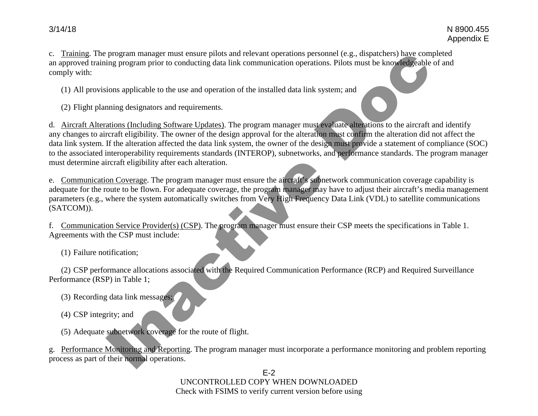E-2 UNCONTROLLED COPY WHEN DOWNLOADED Check with FSIMS to verify current version before using

g. Performance Monitoring and Reporting. The program manager must incorporate a performance monitoring and problem reporting process as part of their normal operations.

(5) Adequate subnetwork coverage for the route of flight.

(4) CSP integrity; and

(2) CSP performance allocations associated with the Required Communication Performance (RCP) and Required Surveillance Performance (RSP) in Table 1; (3) Recording data link messages;

(1) Failure notification;

f. Communication Service Provider(s) (CSP). The program manager must ensure their CSP meets the specifications in Table 1. Agreements with the CSP must include:

e. Communication Coverage. The program manager must ensure the aircraft's subnetwork communication coverage capability is adequate for the route to be flown. For adequate coverage, the program manager may have to adjust their aircraft's media management parameters (e.g., where the system automatically switches from Very High Frequency Data Link (VDL) to satellite communications (SATCOM)).

any changes to aircraft eligibility. The owner of the design approval for the alteration must confirm the alteration did not affect the data link system. If the alteration affected the data link system, the owner of the design must provide a statement of compliance (SOC) to the associated interoperability requirements standards (INTEROP), subnetworks, and performance standards. The program manager must determine aircraft eligibility after each alteration. program manager must ensure pilots and relevant operations personnel (e.g., dispatchers) have compared program prior to conducting data link communication operations. Pilots must be knowledgeable<br>ions applicable to the use

d. Aircraft Alterations (Including Software Updates). The program manager must evaluate alterations to the aircraft and identify

c. Training. The program manager must ensure pilots and relevant operations personnel (e.g., dispatchers) have completed an approved training program prior to conducting data link communication operations. Pilots must be knowledgeable of and comply with:

(1) All provisions applicable to the use and operation of the installed data link system; and

(2) Flight planning designators and requirements.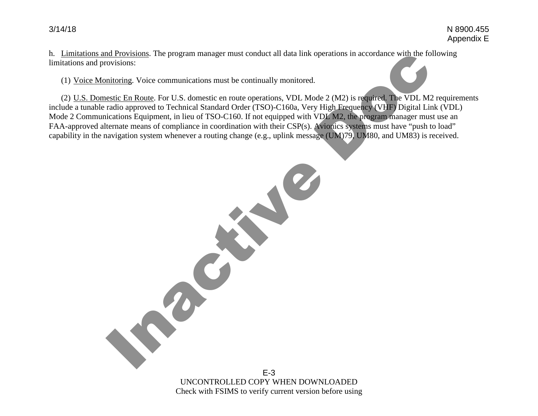h. Limitations and Provisions. The program manager must conduct all data link operations in accordance with the following limitations and provisions:

(1) Voice Monitoring. Voice communications must be continually monitored.

Inactive Doc

(2) U.S. Domestic En Route. For U.S. domestic en route operations, VDL Mode 2 (M2) is required. The VDL M2 requirements include a tunable radio approved to Technical Standard Order (TSO)-C160a, Very High Frequency (VHF) Digital Link (VDL) Mode 2 Communications Equipment, in lieu of TSO-C160. If not equipped with VDL M2, the program manager must use an FAA-approved alternate means of compliance in coordination with their CSP(s). Avionics systems must have "push to load" capability in the navigation system whenever a routing change (e.g., uplink message (UM)79, UM80, and UM83) is received.

> E-3 UNCONTROLLED COPY WHEN DOWNLOADED Check with FSIMS to verify current version before using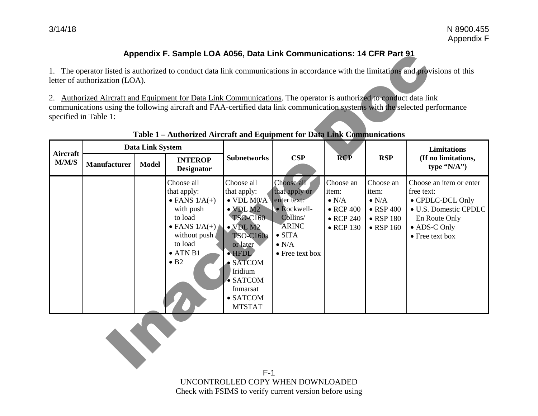# **Appendix F. Sample LOA A056, Data Link Communications: 14 CFR Part 91**

|                          |                                |                                         | Appendix F. Sample LOA A056, Data Link Communications: 14 CFR Part 91                                                                                                                          |                                                                                                                                                                                                                                                           |                                                                                                                                             |                                                                                                    |                                                                                                    |                                                                                                                                        |
|--------------------------|--------------------------------|-----------------------------------------|------------------------------------------------------------------------------------------------------------------------------------------------------------------------------------------------|-----------------------------------------------------------------------------------------------------------------------------------------------------------------------------------------------------------------------------------------------------------|---------------------------------------------------------------------------------------------------------------------------------------------|----------------------------------------------------------------------------------------------------|----------------------------------------------------------------------------------------------------|----------------------------------------------------------------------------------------------------------------------------------------|
|                          | letter of authorization (LOA). |                                         |                                                                                                                                                                                                |                                                                                                                                                                                                                                                           |                                                                                                                                             |                                                                                                    |                                                                                                    | 1. The operator listed is authorized to conduct data link communications in accordance with the limitations and provisions of this     |
|                          | specified in Table 1:          |                                         | 2. Authorized Aircraft and Equipment for Data Link Communications. The operator is authorized to conduct data link<br>Table 1 - Authorized Aircraft and Equipment for Data Link Communications |                                                                                                                                                                                                                                                           |                                                                                                                                             |                                                                                                    |                                                                                                    | communications using the following aircraft and FAA-certified data link communication systems with the selected performance            |
| <b>Aircraft</b><br>M/M/S | <b>Manufacturer</b>            | <b>Data Link System</b><br><b>Model</b> | <b>INTEROP</b><br><b>Designator</b>                                                                                                                                                            | <b>Subnetworks</b>                                                                                                                                                                                                                                        | CSP                                                                                                                                         | <b>RCP</b>                                                                                         | <b>RSP</b>                                                                                         | Limitations<br>(If no limitations,<br>type $(N/A'')$                                                                                   |
|                          |                                |                                         | Choose all<br>that apply:<br>$\bullet$ FANS $1/A(+)$<br>with push<br>to load<br>$\bullet$ FANS $1/A(+)$<br>without push<br>to load<br>$\bullet$ ATN B1<br>$\bullet$ B <sub>2</sub>             | Choose all<br>that apply:<br>$\bullet$ VDL M0/A<br>$\bullet$ VDL M2<br>TSO-C160<br>$\bullet$ VDL M2<br><b>TSO-C160a</b><br>or later<br>$\bullet$ HFDL<br>$\bullet$ SATCOM<br>Iridium<br>$\bullet$ SATCOM<br>Inmarsat<br>$\bullet$ SATCOM<br><b>MTSTAT</b> | Choose all<br>that apply or<br>enter text:<br>• Rockwell-<br>Collins/<br><b>ARINC</b><br>$\bullet$ SITA<br>$\bullet$ N/A<br>• Free text box | Choose an<br>item:<br>$\bullet$ N/A<br>$\bullet$ RCP 400<br>$\bullet$ RCP 240<br>$\bullet$ RCP 130 | Choose an<br>item:<br>$\bullet$ N/A<br>$\bullet$ RSP 400<br>$\bullet$ RSP 180<br>$\bullet$ RSP 160 | Choose an item or enter<br>free text:<br>• CPDLC-DCL Only<br>· U.S. Domestic CPDLC<br>En Route Only<br>• ADS-C Only<br>• Free text box |
|                          |                                |                                         |                                                                                                                                                                                                |                                                                                                                                                                                                                                                           |                                                                                                                                             |                                                                                                    |                                                                                                    |                                                                                                                                        |

### **Table 1 – Authorized Aircraft and Equipment for Data Link Communications**

F-1 UNCONTROLLED COPY WHEN DOWNLOADED Check with FSIMS to verify current version before using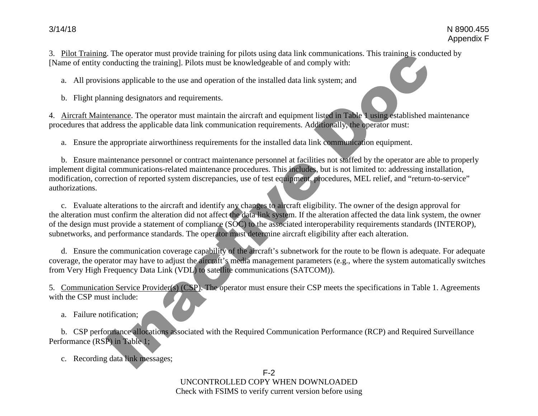3. Pilot Training. The operator must provide training for pilots using data link communications. This training is conducted by [Name of entity conducting the training]. Pilots must be knowledgeable of and comply with:

a. All provisions applicable to the use and operation of the installed data link system; and

b. Flight planning designators and requirements.

4. Aircraft Maintenance. The operator must maintain the aircraft and equipment listed in Table 1 using established maintenance procedures that address the applicable data link communication requirements. Additionally, the operator must: Exemply with:<br>
Supply with:<br>
Supply with:<br>
Supply with:<br>
Supply with:<br>
Supply with:<br>
Supply with:<br>
<br>
Supply the discussion of the contraction equipment.<br>
Supply the contraction equipment.<br>
Supply the contraction equipment.

a. Ensure the appropriate airworthiness requirements for the installed data link communication equipment.

b. Ensure maintenance personnel or contract maintenance personnel at facilities not staffed by the operator are able to properly implement digital communications-related maintenance procedures. This includes, but is not limited to: addressing installation, modification, correction of reported system discrepancies, use of test equipment, procedures, MEL relief, and "return-to-service" authorizations.

c. Evaluate alterations to the aircraft and identify any changes to aircraft eligibility. The owner of the design approval for the alteration must confirm the alteration did not affect the data link system. If the alteration affected the data link system, the owner of the design must provide a statement of compliance (SOC) to the associated interoperability requirements standards (INTEROP), subnetworks, and performance standards. The operator must determine aircraft eligibility after each alteration. aintenance personnel or contract maintenance personnel at facilities not is<br>communications-related maintenance procedures. This includes, but is rection of reported system discrepancies, use of test equipment, procedure<br>al

d. Ensure the communication coverage capability of the aircraft's subnetwork for the route to be flown is adequate. For adequate coverage, the operator may have to adjust the aircraft's media management parameters (e.g., where the system automatically switches from Very High Frequency Data Link (VDL) to satellite communications (SATCOM)).

5. Communication Service Provider(s) (CSP). The operator must ensure their CSP meets the specifications in Table 1. Agreements with the CSP must include:

a. Failure notification;

b. CSP performance allocations associated with the Required Communication Performance (RCP) and Required Surveillance Performance (RSP) in Table 1;

c. Recording data link messages ;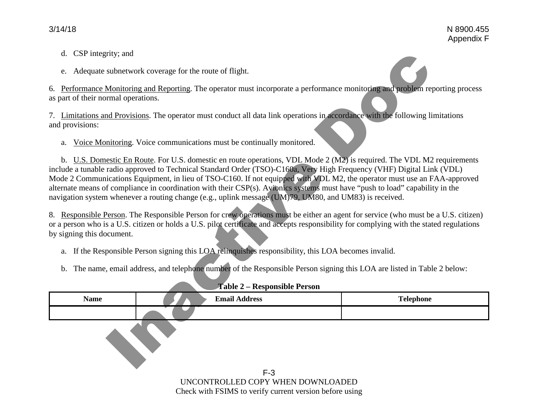- d. CSP integrity; and
- e. Adequate subnetwork coverage for the route of flight.

- a. If the Responsible Person signing this LOA relinquishes responsibility, this LOA becomes invalid.
- b. The name, email address, and telephone number of the Responsible Person signing this LOA are listed in Table 2 below:

| d. CSP integrity; and<br>e.<br>as part of their normal operations. | Adequate subnetwork coverage for the route of flight.<br>6. Performance Monitoring and Reporting. The operator must incorporate a performance monitoring and problem reporting process                                                                                                                                                                                                                                                                                                                                                                                                                                                                                                                                                                                                                                                                                                                                                                                                                                                                                                                                                 |                  |
|--------------------------------------------------------------------|----------------------------------------------------------------------------------------------------------------------------------------------------------------------------------------------------------------------------------------------------------------------------------------------------------------------------------------------------------------------------------------------------------------------------------------------------------------------------------------------------------------------------------------------------------------------------------------------------------------------------------------------------------------------------------------------------------------------------------------------------------------------------------------------------------------------------------------------------------------------------------------------------------------------------------------------------------------------------------------------------------------------------------------------------------------------------------------------------------------------------------------|------------------|
| and provisions:<br>a.                                              | 7. Limitations and Provisions. The operator must conduct all data link operations in accordance with the following limitations<br>Voice Monitoring. Voice communications must be continually monitored.                                                                                                                                                                                                                                                                                                                                                                                                                                                                                                                                                                                                                                                                                                                                                                                                                                                                                                                                |                  |
| by signing this document.<br>a.<br>$\mathbf{b}$ .                  | b. U.S. Domestic En Route. For U.S. domestic en route operations, VDL Mode 2 (M2) is required. The VDL M2 requirements<br>include a tunable radio approved to Technical Standard Order (TSO)-C160a, Very High Frequency (VHF) Digital Link (VDL)<br>Mode 2 Communications Equipment, in lieu of TSO-C160. If not equipped with VDL M2, the operator must use an FAA-approved<br>alternate means of compliance in coordination with their CSP(s). Avionics systems must have "push to load" capability in the<br>navigation system whenever a routing change (e.g., uplink message (UM)79, UM80, and UM83) is received.<br>8. Responsible Person. The Responsible Person for crew operations must be either an agent for service (who must be a U.S. citizen)<br>or a person who is a U.S. citizen or holds a U.S. pilot certificate and accepts responsibility for complying with the stated regulations<br>If the Responsible Person signing this LOA relinquishes responsibility, this LOA becomes invalid.<br>The name, email address, and telephone number of the Responsible Person signing this LOA are listed in Table 2 below: |                  |
|                                                                    | Table 2 - Responsible Person                                                                                                                                                                                                                                                                                                                                                                                                                                                                                                                                                                                                                                                                                                                                                                                                                                                                                                                                                                                                                                                                                                           |                  |
| <b>Name</b>                                                        | <b>Email Address</b>                                                                                                                                                                                                                                                                                                                                                                                                                                                                                                                                                                                                                                                                                                                                                                                                                                                                                                                                                                                                                                                                                                                   | <b>Telephone</b> |
|                                                                    | $F-3$<br>UNCONTROLLED COPY WHEN DOWNLOADED                                                                                                                                                                                                                                                                                                                                                                                                                                                                                                                                                                                                                                                                                                                                                                                                                                                                                                                                                                                                                                                                                             |                  |
|                                                                    | Check with FSIMS to verify current version before using                                                                                                                                                                                                                                                                                                                                                                                                                                                                                                                                                                                                                                                                                                                                                                                                                                                                                                                                                                                                                                                                                |                  |

#### **Table 2 – Responsible Person**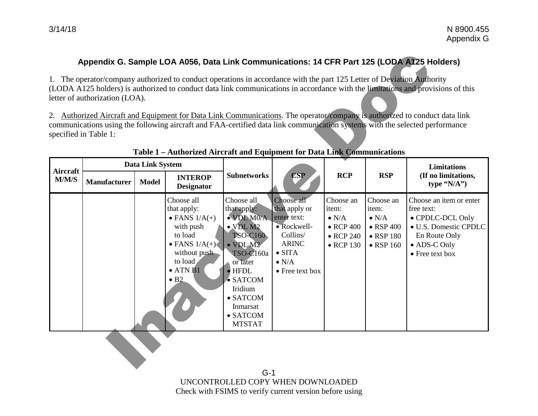# **Appendix G. Sample LOA A056, Data Link Communications: 14 CFR Part 125 (LODA A125 Holders)**

|                 | letter of authorization (LOA).<br>specified in Table 1: |                         | Appendix G. Sample LOA A056, Data Link Communications: 14 CFR Part 125 (LODA A125 Holders)<br>1. The operator/company authorized to conduct operations in accordance with the part 125 Letter of Deviation Authority |                                                                                                                                                                                                                                                                  |                                                                                                                                             |                                                                                                    |                                                                                                    | (LODA A125 holders) is authorized to conduct data link communications in accordance with the limitations and provisions of this<br>2. Authorized Aircraft and Equipment for Data Link Communications. The operator/company is authorized to conduct data link<br>communications using the following aircraft and FAA-certified data link communication systems with the selected performance |
|-----------------|---------------------------------------------------------|-------------------------|----------------------------------------------------------------------------------------------------------------------------------------------------------------------------------------------------------------------|------------------------------------------------------------------------------------------------------------------------------------------------------------------------------------------------------------------------------------------------------------------|---------------------------------------------------------------------------------------------------------------------------------------------|----------------------------------------------------------------------------------------------------|----------------------------------------------------------------------------------------------------|----------------------------------------------------------------------------------------------------------------------------------------------------------------------------------------------------------------------------------------------------------------------------------------------------------------------------------------------------------------------------------------------|
|                 |                                                         |                         | Table 1 - Authorized Aircraft and Equipment for Data Link Communications                                                                                                                                             |                                                                                                                                                                                                                                                                  |                                                                                                                                             |                                                                                                    |                                                                                                    |                                                                                                                                                                                                                                                                                                                                                                                              |
| <b>Aircraft</b> |                                                         | <b>Data Link System</b> |                                                                                                                                                                                                                      |                                                                                                                                                                                                                                                                  |                                                                                                                                             |                                                                                                    |                                                                                                    | <b>Limitations</b>                                                                                                                                                                                                                                                                                                                                                                           |
| M/M/S           | <b>Manufacturer</b>                                     | <b>Model</b>            | <b>INTEROP</b><br><b>Designator</b>                                                                                                                                                                                  | <b>Subnetworks</b>                                                                                                                                                                                                                                               | <b>CSP</b>                                                                                                                                  | <b>RCP</b>                                                                                         | <b>RSP</b>                                                                                         | (If no limitations,<br>type "N/A")                                                                                                                                                                                                                                                                                                                                                           |
|                 |                                                         |                         | Choose all<br>that apply:<br>$\bullet$ FANS $1/A(+)$<br>with push<br>to load<br>$\bullet$ FANS $1/A(+)$<br>without push<br>to load<br>$\bullet$ ATN B1<br>$\bullet$ B <sub>2</sub>                                   | Choose all<br>that apply:<br>$\bullet$ VDL M0/A<br>$\bullet$ VDL M2<br><b>TSO-C160</b><br>$\bullet$ VDL M2<br><b>TSO-C160a</b><br>or later<br>$\bullet$ HFDL<br>$\bullet$ SATCOM<br>Iridium<br>$\bullet$ SATCOM<br>Inmarsat<br>$\bullet$ SATCOM<br><b>MTSTAT</b> | Choose all<br>that apply or<br>enter text:<br>• Rockwell-<br>Collins/<br><b>ARINC</b><br>$\bullet$ SITA<br>$\bullet$ N/A<br>• Free text box | Choose an<br>item:<br>$\bullet$ N/A<br>$\bullet$ RCP 400<br>$\bullet$ RCP 240<br>$\bullet$ RCP 130 | Choose an<br>item:<br>$\bullet$ N/A<br>$\bullet$ RSP 400<br>$\bullet$ RSP 180<br>$\bullet$ RSP 160 | Choose an item or enter<br>free text:<br>• CPDLC-DCL Only<br>• U.S. Domestic CPDLC<br>En Route Only<br>• ADS-C Only<br>• Free text box                                                                                                                                                                                                                                                       |

### **Table 1 – Authorized Aircraft and Equipment for Data Link Communications**

G-1 UNCONTROLLED COPY WHEN DOWNLOADED Check with FSIMS to verify current version before using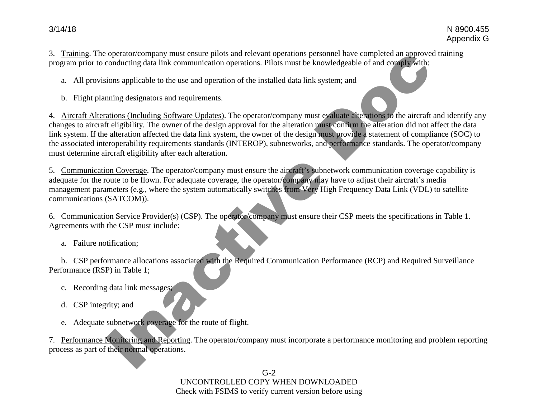3. Training. The operator/company must ensure pilots and relevant operations personnel have completed an approved training program prior to conducting data link communication operations. Pilots must be knowledgeable of and comply with:

a. All provisions applicable to the use and operation of the installed data link system; and

b. Flight planning designators and requirements.

4. Aircraft Alterations (Including Software Updates). The operator/company must evaluate alterations to the aircraft and identify any changes to aircraft eligibility. The owner of the design approval for the alteration must confirm the alteration did not affect the data link system. If the alteration affected the data link system, the owner of the design must provide a statement of compliance (SOC) to the associated interoperability requirements standards (INTEROP), subnetworks, and performance standards. The operator/company must determine aircraft eligibility after each alteration. operation control and more matter place and relevant operations personnel law completed an approvement<br>conducting data link communication operations. Pilots must be knowledgeable of and complex with:<br>ions applicable to the

5. Communication Coverage. The operator/company must ensure the aircraft's subnetwork communication coverage capability is adequate for the route to be flown. For adequate coverage, the operator/company may have to adjust their aircraft's media management parameters (e.g., where the system automatically switches from Very High Frequency Data Link (VDL) to satellite communications (SATCOM)).

6. Communication Service Provider(s) (CSP). The operator/company must ensure their CSP meets the specifications in Table 1. Agreements with the CSP must include:

a. Failure notification;

b. CSP performance allocations associated with the Required Communication Performance (RCP) and Required Surveillance Performance (RSP) in Table 1;

- c. Recording data link messages;
- d. CSP integrity; and
- e. Adequate subnetwork coverage for the route of flight.

7. Performance Monitoring and Reporting. The operator/company must incorporate a performance monitoring and problem reporting process as part of their normal operations.